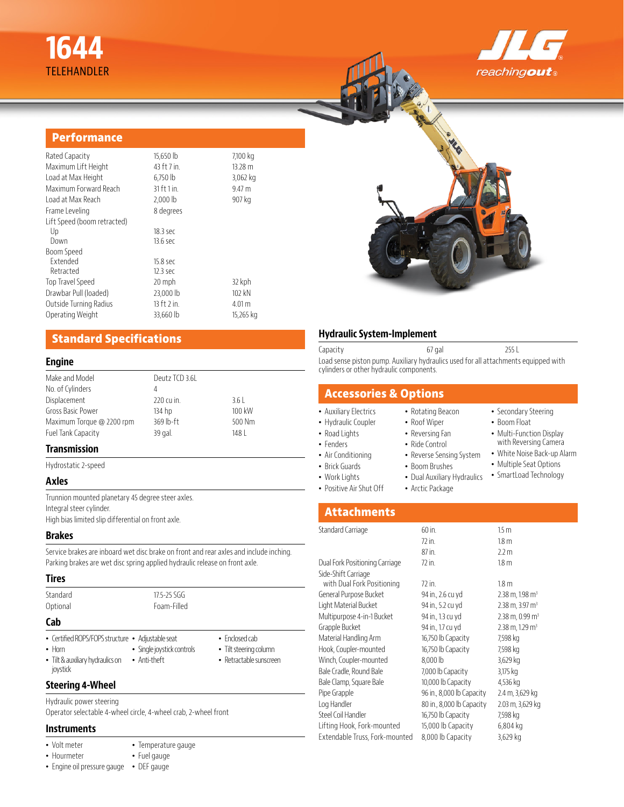# **1644** TELEHANDLER



### **Performance**

| Rated Capacity              | 15,650 lb       | 7,100 kg          |
|-----------------------------|-----------------|-------------------|
| Maximum Lift Height         | 43 ft 7 in.     | 13.28 m           |
| Load at Max Height          | $6,750$ lb      | 3,062 kg          |
| Maximum Forward Reach       | $31$ ft $1$ in. | 9.47 m            |
| Load at Max Reach           | 2,000 lb        | 907 kg            |
| Frame Leveling              | 8 degrees       |                   |
| Lift Speed (boom retracted) |                 |                   |
| Up                          | 18.3 sec        |                   |
| Down                        | 13.6 sec        |                   |
| Boom Speed                  |                 |                   |
| <b>Fxtended</b>             | 15.8 sec        |                   |
| Retracted                   | 12.3 sec        |                   |
| Top Travel Speed            | 20 mph          | 32 kph            |
| Drawbar Pull (loaded)       | 23,000 lb       | $102$ kN          |
| Outside Turning Radius      | $13$ ft $2$ in. | 4.01 <sub>m</sub> |
| Operating Weight            | 33,660 lb       | 15,265 kg         |
|                             |                 |                   |

# **Standard Specifications**

#### **Engine**

| Make and Model            | Deutz TCD 3.6L |        |  |
|---------------------------|----------------|--------|--|
| No. of Cylinders          | 4              |        |  |
| Displacement              | 220 cu in.     | 3.61   |  |
| <b>Gross Basic Power</b>  | 134 hp         | 100 kW |  |
| Maximum Torque @ 2200 rpm | $369$ lb-ft    | 500 Nm |  |
| Fuel Tank Capacity        | 39 gal.        | 148    |  |
|                           |                |        |  |

#### **Transmission**

Hydrostatic 2-speed

#### **Axles**

Trunnion mounted planetary 45 degree steer axles. Integral steer cylinder. High bias limited slip differential on front axle.

#### **Brakes**

Service brakes are inboard wet disc brake on front and rear axles and include inching. Parking brakes are wet disc spring applied hydraulic release on front axle.

#### **Tires**

| Standard<br>Optional                                                                                              | $17.5 - 25.5$<br>Foam-Filled               |                                                                             |
|-------------------------------------------------------------------------------------------------------------------|--------------------------------------------|-----------------------------------------------------------------------------|
| Cab                                                                                                               |                                            |                                                                             |
| • Certified ROPS/FOPS structure • Adjustable seat<br>$\cdot$ Horn<br>• Tilt & auxiliary hydraulics on<br>joystick | · Single joystick controls<br>• Anti-theft | $\bullet$ Fnclosed cab<br>• Tilt steering column<br>• Retractable sunscreen |

#### **Steering 4-Wheel**

Hydraulic power steering Operator selectable 4-wheel circle, 4-wheel crab, 2-wheel front

> • Temperature gauge • Fuel gauge

#### **Instruments**

- Volt meter
- Hourmeter
- Engine oil pressure gauge DEF gauge

#### **Hydraulic System-Implement**

Capacity 67 gal 255 L Load sense piston pump. Auxiliary hydraulics used for all attachments equipped with cylinders or other hydraulic components.

# **Accessories & Options**

- Auxiliary Electrics
- Hydraulic Coupler
- Roof Wiper
- Road Lights • Fenders
- Air Conditioning
- Brick Guards
	- Work Lights
	- Positive Air Shut Off
- 
- Reversing Fan • Ride Control
	-

• Rotating Beacon

- Reverse Sensing System • Boom Brushes
- Dual Auxiliary Hydraulics
- Arctic Package
- SmartLoad Technology

• Secondary Steering • Boom Float • Multi-Function Display with Reversing Camera • White Noise Back-up Alarm • Multiple Seat Options

# **Attachments**

| Standard Carriage              | 60 in.                    | 15 <sub>m</sub>                 |
|--------------------------------|---------------------------|---------------------------------|
|                                | 72 in.                    | 1.8 <sub>m</sub>                |
|                                | 87 in.                    | 2.2 m                           |
| Dual Fork Positioning Carriage | 72 in.                    | 1.8 <sub>m</sub>                |
| Side-Shift Carriage            |                           |                                 |
| with Dual Fork Positioning     | 72 in.                    | 1.8 <sub>m</sub>                |
| General Purpose Bucket         | 94 in., 2.6 cu yd         | $2.38$ m, $1.98$ m <sup>3</sup> |
| Light Material Bucket          | 94 in., 5.2 cu yd         | $2.38$ m, $3.97$ m <sup>3</sup> |
| Multipurpose 4-in-1 Bucket     | 94 in., 1.3 cu yd         | $2.38$ m, 0.99 m <sup>3</sup>   |
| Grapple Bucket                 | 94 in., 1.7 cu yd         | $2.38$ m, 1.29 m <sup>3</sup>   |
| Material Handling Arm          | 16,750 lb Capacity        | 7,598 kg                        |
| Hook, Coupler-mounted          | 16,750 lb Capacity        | 7,598 kg                        |
| Winch, Coupler-mounted         | 8,000 lb                  | 3,629 kg                        |
| Bale Cradle, Round Bale        | 7,000 lb Capacity         | 3,175 kg                        |
| Bale Clamp, Square Bale        | 10,000 lb Capacity        | 4,536 kg                        |
| Pipe Grapple                   | 96 in., 8,000 lb Capacity | 2.4 m, 3,629 kg                 |
| Log Handler                    | 80 in., 8,000 lb Capacity | 2.03 m, 3,629 kg                |
| Steel Coil Handler             | 16,750 lb Capacity        | 7,598 kg                        |
| Lifting Hook, Fork-mounted     | 15,000 lb Capacity        | 6,804 kg                        |
| Extendable Truss, Fork-mounted | 8,000 lb Capacity         | 3,629 kg                        |